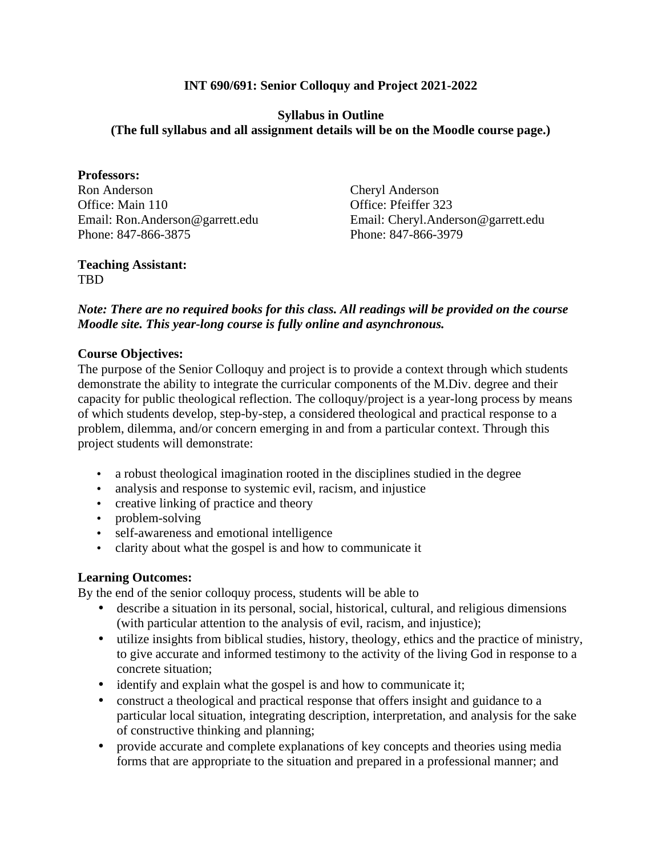## **INT 690/691: Senior Colloquy and Project 2021-2022**

## **Syllabus in Outline (The full syllabus and all assignment details will be on the Moodle course page.)**

**Professors:**  Ron Anderson Office: Main 110 Email: Ron.Anderson@garrett.edu Phone: 847-866-3875

Cheryl Anderson Office: Pfeiffer 323 Email: Cheryl.Anderson@garrett.edu Phone: 847-866-3979

#### **Teaching Assistant:**  TBD

## *Note: There are no required books for this class. All readings will be provided on the course Moodle site. This year-long course is fully online and asynchronous.*

## **Course Objectives:**

The purpose of the Senior Colloquy and project is to provide a context through which students demonstrate the ability to integrate the curricular components of the M.Div. degree and their capacity for public theological reflection. The colloquy/project is a year-long process by means of which students develop, step-by-step, a considered theological and practical response to a problem, dilemma, and/or concern emerging in and from a particular context. Through this project students will demonstrate:

- a robust theological imagination rooted in the disciplines studied in the degree
- analysis and response to systemic evil, racism, and injustice
- creative linking of practice and theory
- problem-solving
- self-awareness and emotional intelligence
- clarity about what the gospel is and how to communicate it

#### **Learning Outcomes:**

By the end of the senior colloquy process, students will be able to

- describe a situation in its personal, social, historical, cultural, and religious dimensions (with particular attention to the analysis of evil, racism, and injustice);
- utilize insights from biblical studies, history, theology, ethics and the practice of ministry, to give accurate and informed testimony to the activity of the living God in response to a concrete situation;
- identify and explain what the gospel is and how to communicate it;
- construct a theological and practical response that offers insight and guidance to a particular local situation, integrating description, interpretation, and analysis for the sake of constructive thinking and planning;
- provide accurate and complete explanations of key concepts and theories using media forms that are appropriate to the situation and prepared in a professional manner; and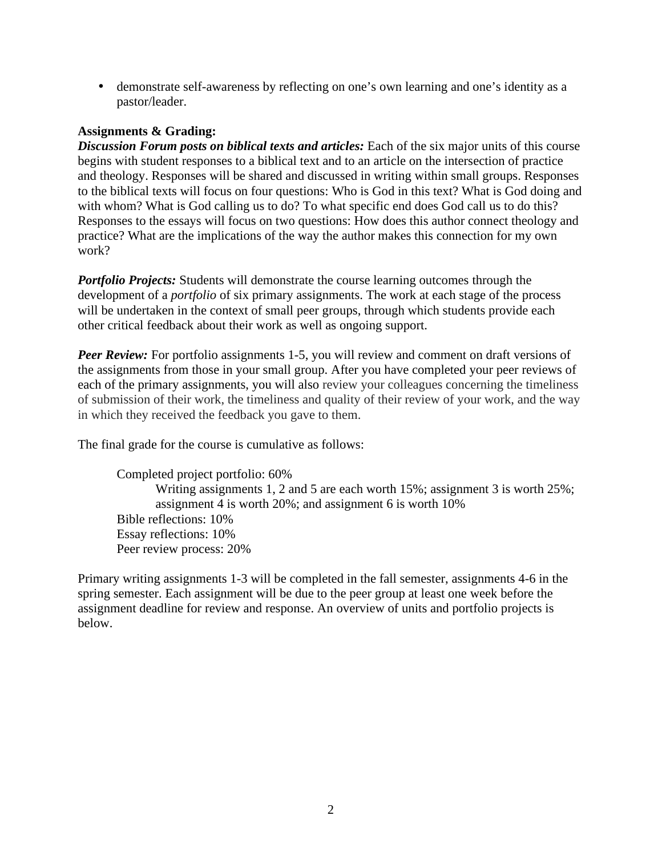• demonstrate self-awareness by reflecting on one's own learning and one's identity as a pastor/leader.

## **Assignments & Grading:**

*Discussion Forum posts on biblical texts and articles:* Each of the six major units of this course begins with student responses to a biblical text and to an article on the intersection of practice and theology. Responses will be shared and discussed in writing within small groups. Responses to the biblical texts will focus on four questions: Who is God in this text? What is God doing and with whom? What is God calling us to do? To what specific end does God call us to do this? Responses to the essays will focus on two questions: How does this author connect theology and practice? What are the implications of the way the author makes this connection for my own work?

*Portfolio Projects:* Students will demonstrate the course learning outcomes through the development of a *portfolio* of six primary assignments. The work at each stage of the process will be undertaken in the context of small peer groups, through which students provide each other critical feedback about their work as well as ongoing support.

*Peer Review:* For portfolio assignments 1-5, you will review and comment on draft versions of the assignments from those in your small group. After you have completed your peer reviews of each of the primary assignments, you will also review your colleagues concerning the timeliness of submission of their work, the timeliness and quality of their review of your work, and the way in which they received the feedback you gave to them.

The final grade for the course is cumulative as follows:

Completed project portfolio: 60% Writing assignments 1, 2 and 5 are each worth 15%; assignment 3 is worth 25%; assignment 4 is worth 20%; and assignment 6 is worth 10% Bible reflections: 10% Essay reflections: 10% Peer review process: 20%

Primary writing assignments 1-3 will be completed in the fall semester, assignments 4-6 in the spring semester. Each assignment will be due to the peer group at least one week before the assignment deadline for review and response. An overview of units and portfolio projects is below.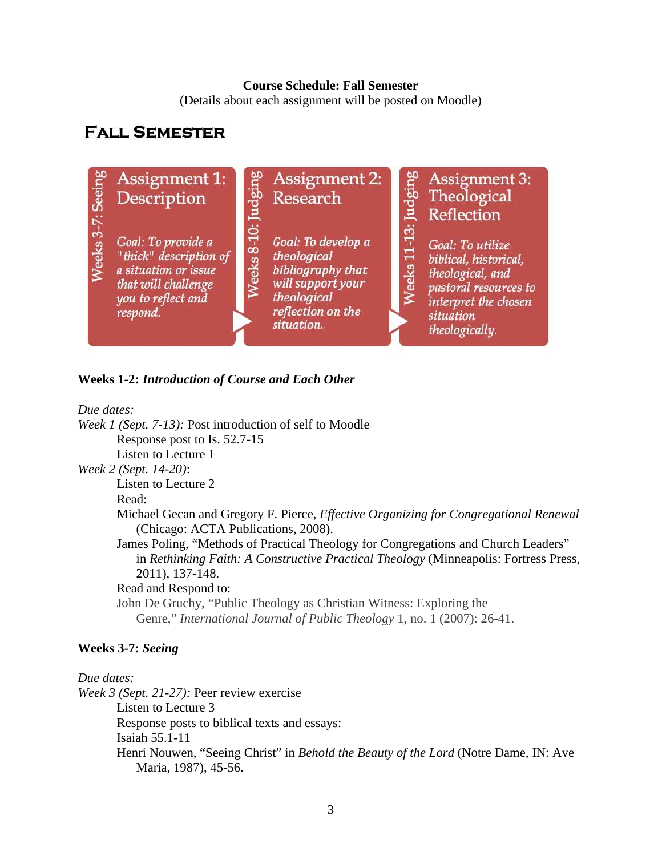#### **Course Schedule: Fall Semester**

(Details about each assignment will be posted on Moodle)

# **FALL SEMESTER**



#### **Weeks 1-2:** *Introduction of Course and Each Other*

*Due dates:* 

*Week 1 (Sept. 7-13):* Post introduction of self to Moodle Response post to Is. 52.7-15 Listen to Lecture 1 *Week 2 (Sept. 14-20)*: Listen to Lecture 2 Read: Michael Gecan and Gregory F. Pierce, *Effective Organizing for Congregational Renewal* (Chicago: ACTA Publications, 2008). James Poling, "Methods of Practical Theology for Congregations and Church Leaders" in *Rethinking Faith: A Constructive Practical Theology* (Minneapolis: Fortress Press, 2011), 137-148. Read and Respond to: John De Gruchy, "Public Theology as Christian Witness: Exploring the Genre," *International Journal of Public Theology* 1, no. 1 (2007): 26-41.

## **Weeks 3-7:** *Seeing*

#### *Due dates:*

*Week 3 (Sept. 21-27):* Peer review exercise Listen to Lecture 3 Response posts to biblical texts and essays: Isaiah 55.1-11 Henri Nouwen, "Seeing Christ" in *Behold the Beauty of the Lord* (Notre Dame, IN: Ave Maria, 1987), 45-56.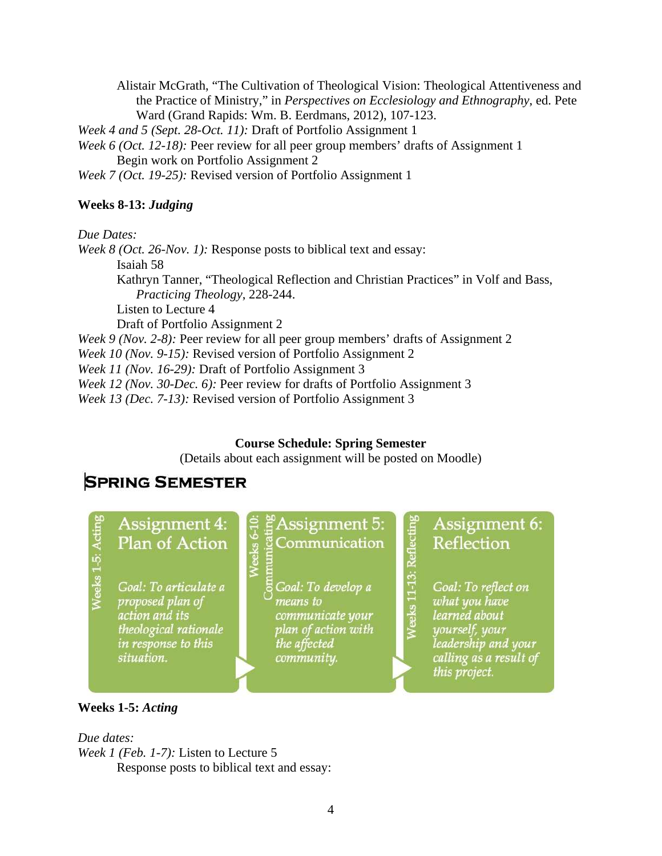Alistair McGrath, "The Cultivation of Theological Vision: Theological Attentiveness and the Practice of Ministry," in *Perspectives on Ecclesiology and Ethnography*, ed. Pete Ward (Grand Rapids: Wm. B. Eerdmans, 2012), 107-123.

*Week 4 and 5 (Sept. 28-Oct. 11):* Draft of Portfolio Assignment 1

*Week 6 (Oct. 12-18):* Peer review for all peer group members' drafts of Assignment 1 Begin work on Portfolio Assignment 2

*Week 7 (Oct. 19-25):* Revised version of Portfolio Assignment 1

## **Weeks 8-13:** *Judging*

*Due Dates:* 

*Week 8 (Oct. 26-Nov. 1):* Response posts to biblical text and essay: Isaiah 58 Kathryn Tanner, "Theological Reflection and Christian Practices" in Volf and Bass, *Practicing Theology*, 228-244. Listen to Lecture 4 Draft of Portfolio Assignment 2 *Week 9 (Nov. 2-8): Peer review for all peer group members' drafts of Assignment 2* 

*Week 10 (Nov. 9-15):* Revised version of Portfolio Assignment 2

*Week 11 (Nov. 16-29):* Draft of Portfolio Assignment 3

*Week 12 (Nov. 30-Dec. 6):* Peer review for drafts of Portfolio Assignment 3

*Week 13 (Dec. 7-13):* Revised version of Portfolio Assignment 3

eeks $6-1$ 

## **Course Schedule: Spring Semester**

(Details about each assignment will be posted on Moodle)

# **SPRING SEMESTER**



# **Assignment 4: Plan of Action**

Goal: To articulate a proposed plan of action and its theological rationale in response to this situation.

# Assignment 5: Communication

Goal: To develop a means to communicate your plan of action with the affected community.

**Assignment 6: Reflection** 

Goal: To reflect on what you have learned about yourself, your leadership and your calling as a result of this project.

Veeks 11-13: Reflectin

#### **Weeks 1-5:** *Acting*

#### *Due dates:*

*Week 1 (Feb. 1-7):* Listen to Lecture 5 Response posts to biblical text and essay: